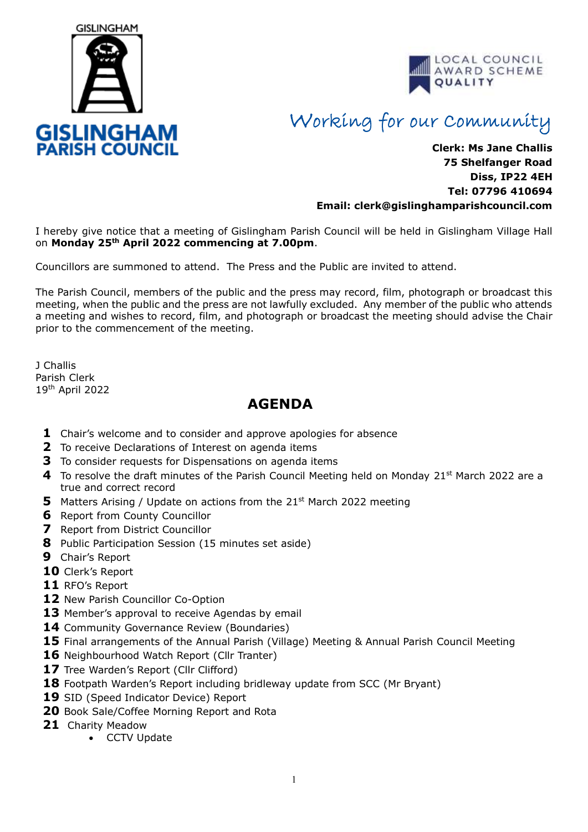



## Working for our Community

## **Clerk: Ms Jane Challis 75 Shelfanger Road Diss, IP22 4EH Tel: 07796 410694 Email: clerk[@gislinghamparishcouncil.com](mailto:gislinghamparishcouncil@gmail.com)**

I hereby give notice that a meeting of Gislingham Parish Council will be held in Gislingham Village Hall on **Monday 25th April 2022 commencing at 7.00pm**.

Councillors are summoned to attend. The Press and the Public are invited to attend.

The Parish Council, members of the public and the press may record, film, photograph or broadcast this meeting, when the public and the press are not lawfully excluded. Any member of the public who attends a meeting and wishes to record, film, and photograph or broadcast the meeting should advise the Chair prior to the commencement of the meeting.

J Challis Parish Clerk 19th April 2022

## **AGENDA**

- **1** Chair's welcome and to consider and approve apologies for absence
- **2** To receive Declarations of Interest on agenda items
- **3** To consider requests for Dispensations on agenda items
- **4** To resolve the draft minutes of the Parish Council Meeting held on Monday 21<sup>st</sup> March 2022 are a true and correct record
- **5** Matters Arising / Update on actions from the 21<sup>st</sup> March 2022 meeting
- **6** Report from County Councillor
- **7** Report from District Councillor
- **8** Public Participation Session (15 minutes set aside)
- **9** Chair's Report
- **10** Clerk's Report
- **11** RFO's Report
- 12 New Parish Councillor Co-Option
- 13 Member's approval to receive Agendas by email
- 14 Community Governance Review (Boundaries)
- **15** Final arrangements of the Annual Parish (Village) Meeting & Annual Parish Council Meeting
- 16 Neighbourhood Watch Report (Cllr Tranter)
- 17 Tree Warden's Report (Cllr Clifford)
- **18** Footpath Warden's Report including bridleway update from SCC (Mr Bryant)
- 19 SID (Speed Indicator Device) Report
- **20** Book Sale/Coffee Morning Report and Rota
- **21** Charity Meadow
	- CCTV Update